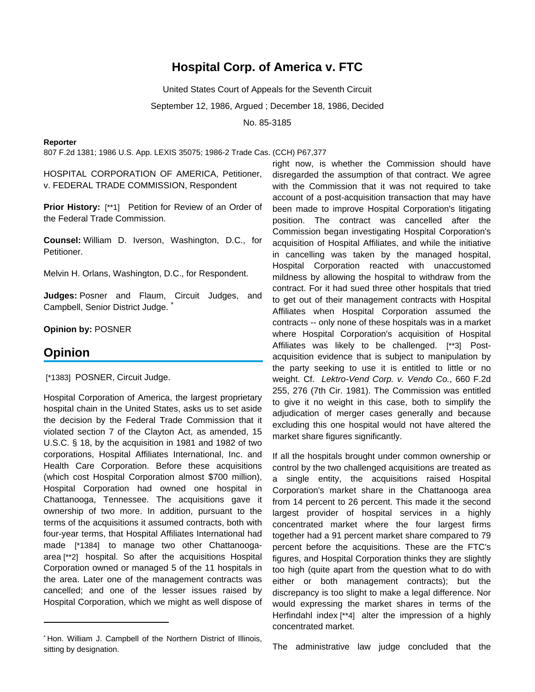## **Hospital Corp. of America v. FTC**

United States Court of Appeals for the Seventh Circuit September 12, 1986, Argued ; December 18, 1986, Decided

No. 85-3185

## **Reporter**

807 F.2d 1381; 1986 U.S. App. LEXIS 35075; 1986-2 Trade Cas. (CCH) P67,377

HOSPITAL CORPORATION OF AMERICA, Petitioner, v. FEDERAL TRADE COMMISSION, Respondent

**Prior History:** [\*\*1] Petition for Review of an Order of the Federal Trade Commission.

**Counsel:** William D. Iverson, Washington, D.C., for Petitioner.

Melvin H. Orlans, Washington, D.C., for Respondent.

**Judges:** Posner and Flaum, Circuit Judges, and Campbell, Senior District Judge. \*

**Opinion by:** POSNER

## **Opinion**

[\*1383] POSNER, Circuit Judge.

Hospital Corporation of America, the largest proprietary hospital chain in the United States, asks us to set aside the decision by the Federal Trade Commission that it violated section 7 of the Clayton Act, as amended, 15 U.S.C. § 18, by the acquisition in 1981 and 1982 of two corporations, Hospital Affiliates International, Inc. and Health Care Corporation. Before these acquisitions (which cost Hospital Corporation almost \$700 million), Hospital Corporation had owned one hospital in Chattanooga, Tennessee. The acquisitions gave it ownership of two more. In addition, pursuant to the terms of the acquisitions it assumed contracts, both with four-year terms, that Hospital Affiliates International had made [\*1384] to manage two other Chattanoogaarea [\*\*2] hospital. So after the acquisitions Hospital Corporation owned or managed 5 of the 11 hospitals in the area. Later one of the management contracts was cancelled; and one of the lesser issues raised by Hospital Corporation, which we might as well dispose of

right now, is whether the Commission should have disregarded the assumption of that contract. We agree with the Commission that it was not required to take account of a post-acquisition transaction that may have been made to improve Hospital Corporation's litigating position. The contract was cancelled after the Commission began investigating Hospital Corporation's acquisition of Hospital Affiliates, and while the initiative in cancelling was taken by the managed hospital, Hospital Corporation reacted with unaccustomed mildness by allowing the hospital to withdraw from the contract. For it had sued three other hospitals that tried to get out of their management contracts with Hospital Affiliates when Hospital Corporation assumed the contracts -- only none of these hospitals was in a market where Hospital Corporation's acquisition of Hospital Affiliates was likely to be challenged. [\*\*3] Postacquisition evidence that is subject to manipulation by the party seeking to use it is entitled to little or no weight. Cf. Lektro-Vend Corp. v. Vendo Co., 660 F.2d 255, 276 (7th Cir. 1981). The Commission was entitled to give it no weight in this case, both to simplify the adjudication of merger cases generally and because excluding this one hospital would not have altered the market share figures significantly.

If all the hospitals brought under common ownership or control by the two challenged acquisitions are treated as a single entity, the acquisitions raised Hospital Corporation's market share in the Chattanooga area from 14 percent to 26 percent. This made it the second largest provider of hospital services in a highly concentrated market where the four largest firms together had a 91 percent market share compared to 79 percent before the acquisitions. These are the FTC's figures, and Hospital Corporation thinks they are slightly too high (quite apart from the question what to do with either or both management contracts); but the discrepancy is too slight to make a legal difference. Nor would expressing the market shares in terms of the Herfindahl index [\*\*4] alter the impression of a highly concentrated market.

The administrative law judge concluded that the

<sup>\*</sup> Hon. William J. Campbell of the Northern District of Illinois, sitting by designation.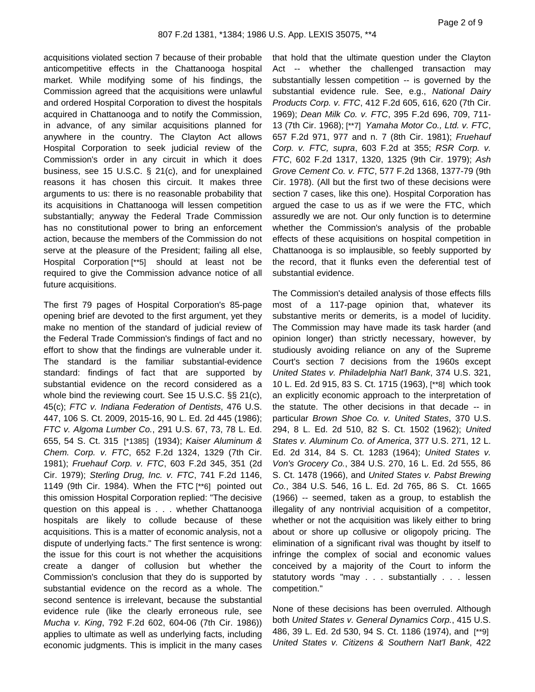acquisitions violated section 7 because of their probable anticompetitive effects in the Chattanooga hospital market. While modifying some of his findings, the Commission agreed that the acquisitions were unlawful and ordered Hospital Corporation to divest the hospitals acquired in Chattanooga and to notify the Commission, in advance, of any similar acquisitions planned for anywhere in the country. The Clayton Act allows Hospital Corporation to seek judicial review of the Commission's order in any circuit in which it does business, see 15 U.S.C. § 21(c), and for unexplained reasons it has chosen this circuit. It makes three arguments to us: there is no reasonable probability that its acquisitions in Chattanooga will lessen competition substantially; anyway the Federal Trade Commission has no constitutional power to bring an enforcement action, because the members of the Commission do not serve at the pleasure of the President; failing all else, Hospital Corporation [\*\*5] should at least not be required to give the Commission advance notice of all future acquisitions.

The first 79 pages of Hospital Corporation's 85-page opening brief are devoted to the first argument, yet they make no mention of the standard of judicial review of the Federal Trade Commission's findings of fact and no effort to show that the findings are vulnerable under it. The standard is the familiar substantial-evidence standard: findings of fact that are supported by substantial evidence on the record considered as a whole bind the reviewing court. See 15 U.S.C. §§ 21(c), 45(c); FTC v. Indiana Federation of Dentists, 476 U.S. 447, 106 S. Ct. 2009, 2015-16, 90 L. Ed. 2d 445 (1986); FTC v. Algoma Lumber Co., 291 U.S. 67, 73, 78 L. Ed. 655, 54 S. Ct. 315 [\*1385] (1934); Kaiser Aluminum & Chem. Corp. v. FTC, 652 F.2d 1324, 1329 (7th Cir. 1981); Fruehauf Corp. v. FTC, 603 F.2d 345, 351 (2d Cir. 1979); Sterling Drug, Inc. v. FTC, 741 F.2d 1146, 1149 (9th Cir. 1984). When the FTC [\*\*6] pointed out this omission Hospital Corporation replied: "The decisive question on this appeal is . . . whether Chattanooga hospitals are likely to collude because of these acquisitions. This is a matter of economic analysis, not a dispute of underlying facts." The first sentence is wrong: the issue for this court is not whether the acquisitions create a danger of collusion but whether the Commission's conclusion that they do is supported by substantial evidence on the record as a whole. The second sentence is irrelevant, because the substantial evidence rule (like the clearly erroneous rule, see Mucha v. King, 792 F.2d 602, 604-06 (7th Cir. 1986)) applies to ultimate as well as underlying facts, including economic judgments. This is implicit in the many cases

that hold that the ultimate question under the Clayton Act -- whether the challenged transaction may substantially lessen competition -- is governed by the substantial evidence rule. See, e.g., National Dairy Products Corp. v. FTC, 412 F.2d 605, 616, 620 (7th Cir. 1969); Dean Milk Co. v. FTC, 395 F.2d 696, 709, 711- 13 (7th Cir. 1968); [\*\*7] Yamaha Motor Co., Ltd. v. FTC, 657 F.2d 971, 977 and n. 7 (8th Cir. 1981); Fruehauf Corp. v. FTC, supra, 603 F.2d at 355; RSR Corp. v. FTC, 602 F.2d 1317, 1320, 1325 (9th Cir. 1979); Ash Grove Cement Co. v. FTC, 577 F.2d 1368, 1377-79 (9th Cir. 1978). (All but the first two of these decisions were section 7 cases, like this one). Hospital Corporation has argued the case to us as if we were the FTC, which assuredly we are not. Our only function is to determine whether the Commission's analysis of the probable effects of these acquisitions on hospital competition in Chattanooga is so implausible, so feebly supported by the record, that it flunks even the deferential test of substantial evidence.

The Commission's detailed analysis of those effects fills most of a 117-page opinion that, whatever its substantive merits or demerits, is a model of lucidity. The Commission may have made its task harder (and opinion longer) than strictly necessary, however, by studiously avoiding reliance on any of the Supreme Court's section 7 decisions from the 1960s except United States v. Philadelphia Nat'l Bank, 374 U.S. 321, 10 L. Ed. 2d 915, 83 S. Ct. 1715 (1963), [\*\*8] which took an explicitly economic approach to the interpretation of the statute. The other decisions in that decade -- in particular Brown Shoe Co. v. United States, 370 U.S. 294, 8 L. Ed. 2d 510, 82 S. Ct. 1502 (1962); United States v. Aluminum Co. of America, 377 U.S. 271, 12 L. Ed. 2d 314, 84 S. Ct. 1283 (1964); United States v. Von's Grocery Co., 384 U.S. 270, 16 L. Ed. 2d 555, 86 S. Ct. 1478 (1966), and United States v. Pabst Brewing Co., 384 U.S. 546, 16 L. Ed. 2d 765, 86 S. Ct. 1665 (1966) -- seemed, taken as a group, to establish the illegality of any nontrivial acquisition of a competitor, whether or not the acquisition was likely either to bring about or shore up collusive or oligopoly pricing. The elimination of a significant rival was thought by itself to infringe the complex of social and economic values conceived by a majority of the Court to inform the statutory words "may . . . substantially . . . lessen competition."

None of these decisions has been overruled. Although both United States v. General Dynamics Corp., 415 U.S. 486, 39 L. Ed. 2d 530, 94 S. Ct. 1186 (1974), and [\*\*9] United States v. Citizens & Southern Nat'l Bank, 422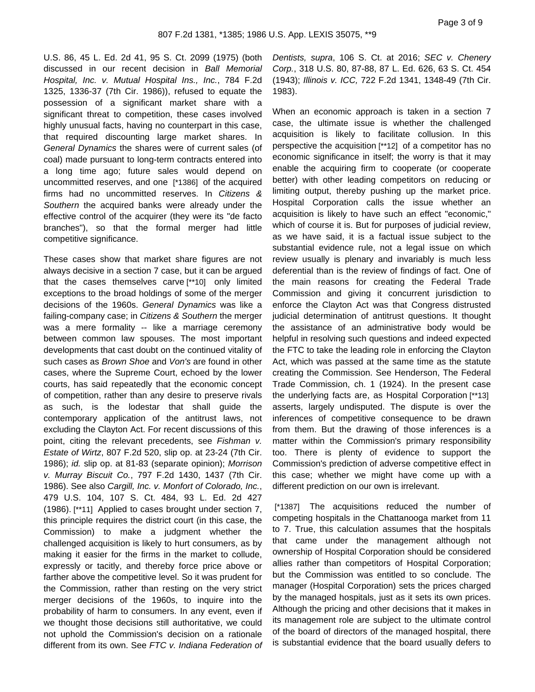U.S. 86, 45 L. Ed. 2d 41, 95 S. Ct. 2099 (1975) (both discussed in our recent decision in Ball Memorial Hospital, Inc. v. Mutual Hospital Ins., Inc., 784 F.2d 1325, 1336-37 (7th Cir. 1986)), refused to equate the possession of a significant market share with a significant threat to competition, these cases involved highly unusual facts, having no counterpart in this case, that required discounting large market shares. In General Dynamics the shares were of current sales (of coal) made pursuant to long-term contracts entered into a long time ago; future sales would depend on uncommitted reserves, and one [\*1386] of the acquired firms had no uncommitted reserves. In Citizens & Southern the acquired banks were already under the effective control of the acquirer (they were its "de facto branches"), so that the formal merger had little competitive significance.

These cases show that market share figures are not always decisive in a section 7 case, but it can be argued that the cases themselves carve [\*\*10] only limited exceptions to the broad holdings of some of the merger decisions of the 1960s. General Dynamics was like a failing-company case; in Citizens & Southern the merger was a mere formality -- like a marriage ceremony between common law spouses. The most important developments that cast doubt on the continued vitality of such cases as Brown Shoe and Von's are found in other cases, where the Supreme Court, echoed by the lower courts, has said repeatedly that the economic concept of competition, rather than any desire to preserve rivals as such, is the lodestar that shall guide the contemporary application of the antitrust laws, not excluding the Clayton Act. For recent discussions of this point, citing the relevant precedents, see Fishman v. Estate of Wirtz, 807 F.2d 520, slip op. at 23-24 (7th Cir. 1986); id. slip op. at 81-83 (separate opinion); Morrison v. Murray Biscuit Co., 797 F.2d 1430, 1437 (7th Cir. 1986). See also Cargill, Inc. v. Monfort of Colorado, Inc., 479 U.S. 104, 107 S. Ct. 484, 93 L. Ed. 2d 427 (1986). [\*\*11] Applied to cases brought under section 7, this principle requires the district court (in this case, the Commission) to make a judgment whether the challenged acquisition is likely to hurt consumers, as by making it easier for the firms in the market to collude, expressly or tacitly, and thereby force price above or farther above the competitive level. So it was prudent for the Commission, rather than resting on the very strict merger decisions of the 1960s, to inquire into the probability of harm to consumers. In any event, even if we thought those decisions still authoritative, we could not uphold the Commission's decision on a rationale different from its own. See FTC v. Indiana Federation of Dentists, supra, 106 S. Ct. at 2016; SEC v. Chenery Corp., 318 U.S. 80, 87-88, 87 L. Ed. 626, 63 S. Ct. 454 (1943); Illinois v. ICC, 722 F.2d 1341, 1348-49 (7th Cir. 1983).

When an economic approach is taken in a section 7 case, the ultimate issue is whether the challenged acquisition is likely to facilitate collusion. In this perspective the acquisition [\*\*12] of a competitor has no economic significance in itself; the worry is that it may enable the acquiring firm to cooperate (or cooperate better) with other leading competitors on reducing or limiting output, thereby pushing up the market price. Hospital Corporation calls the issue whether an acquisition is likely to have such an effect "economic," which of course it is. But for purposes of judicial review, as we have said, it is a factual issue subject to the substantial evidence rule, not a legal issue on which review usually is plenary and invariably is much less deferential than is the review of findings of fact. One of the main reasons for creating the Federal Trade Commission and giving it concurrent jurisdiction to enforce the Clayton Act was that Congress distrusted judicial determination of antitrust questions. It thought the assistance of an administrative body would be helpful in resolving such questions and indeed expected the FTC to take the leading role in enforcing the Clayton Act, which was passed at the same time as the statute creating the Commission. See Henderson, The Federal Trade Commission, ch. 1 (1924). In the present case the underlying facts are, as Hospital Corporation [\*\*13] asserts, largely undisputed. The dispute is over the inferences of competitive consequence to be drawn from them. But the drawing of those inferences is a matter within the Commission's primary responsibility too. There is plenty of evidence to support the Commission's prediction of adverse competitive effect in this case; whether we might have come up with a different prediction on our own is irrelevant.

[\*1387] The acquisitions reduced the number of competing hospitals in the Chattanooga market from 11 to 7. True, this calculation assumes that the hospitals that came under the management although not ownership of Hospital Corporation should be considered allies rather than competitors of Hospital Corporation; but the Commission was entitled to so conclude. The manager (Hospital Corporation) sets the prices charged by the managed hospitals, just as it sets its own prices. Although the pricing and other decisions that it makes in its management role are subject to the ultimate control of the board of directors of the managed hospital, there is substantial evidence that the board usually defers to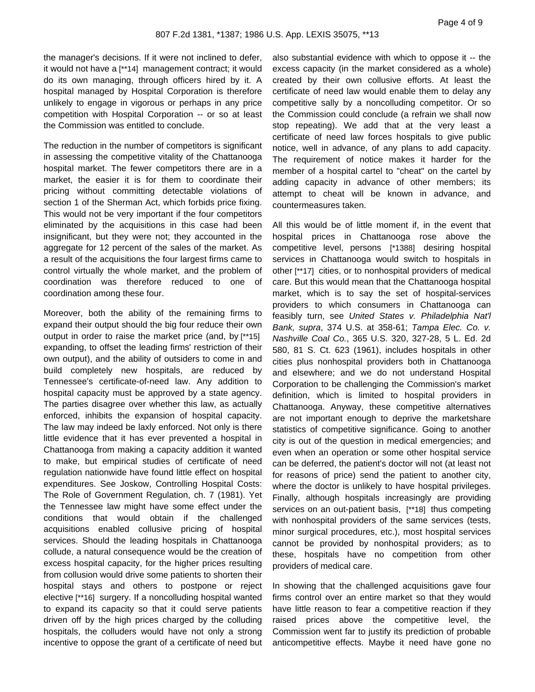the manager's decisions. If it were not inclined to defer, it would not have a [\*\*14] management contract; it would do its own managing, through officers hired by it. A hospital managed by Hospital Corporation is therefore unlikely to engage in vigorous or perhaps in any price competition with Hospital Corporation -- or so at least the Commission was entitled to conclude.

The reduction in the number of competitors is significant in assessing the competitive vitality of the Chattanooga hospital market. The fewer competitors there are in a market, the easier it is for them to coordinate their pricing without committing detectable violations of section 1 of the Sherman Act, which forbids price fixing. This would not be very important if the four competitors eliminated by the acquisitions in this case had been insignificant, but they were not; they accounted in the aggregate for 12 percent of the sales of the market. As a result of the acquisitions the four largest firms came to control virtually the whole market, and the problem of coordination was therefore reduced to one of coordination among these four.

Moreover, both the ability of the remaining firms to expand their output should the big four reduce their own output in order to raise the market price (and, by [\*\*15] expanding, to offset the leading firms' restriction of their own output), and the ability of outsiders to come in and build completely new hospitals, are reduced by Tennessee's certificate-of-need law. Any addition to hospital capacity must be approved by a state agency. The parties disagree over whether this law, as actually enforced, inhibits the expansion of hospital capacity. The law may indeed be laxly enforced. Not only is there little evidence that it has ever prevented a hospital in Chattanooga from making a capacity addition it wanted to make, but empirical studies of certificate of need regulation nationwide have found little effect on hospital expenditures. See Joskow, Controlling Hospital Costs: The Role of Government Regulation, ch. 7 (1981). Yet the Tennessee law might have some effect under the conditions that would obtain if the challenged acquisitions enabled collusive pricing of hospital services. Should the leading hospitals in Chattanooga collude, a natural consequence would be the creation of excess hospital capacity, for the higher prices resulting from collusion would drive some patients to shorten their hospital stays and others to postpone or reject elective [\*\*16] surgery. If a noncolluding hospital wanted to expand its capacity so that it could serve patients driven off by the high prices charged by the colluding hospitals, the colluders would have not only a strong incentive to oppose the grant of a certificate of need but also substantial evidence with which to oppose it -- the excess capacity (in the market considered as a whole) created by their own collusive efforts. At least the certificate of need law would enable them to delay any competitive sally by a noncolluding competitor. Or so the Commission could conclude (a refrain we shall now stop repeating). We add that at the very least a certificate of need law forces hospitals to give public notice, well in advance, of any plans to add capacity. The requirement of notice makes it harder for the member of a hospital cartel to "cheat" on the cartel by adding capacity in advance of other members; its attempt to cheat will be known in advance, and countermeasures taken.

All this would be of little moment if, in the event that hospital prices in Chattanooga rose above the competitive level, persons [\*1388] desiring hospital services in Chattanooga would switch to hospitals in other [\*\*17] cities, or to nonhospital providers of medical care. But this would mean that the Chattanooga hospital market, which is to say the set of hospital-services providers to which consumers in Chattanooga can feasibly turn, see United States v. Philadelphia Nat'l Bank, supra, 374 U.S. at 358-61; Tampa Elec. Co. v. Nashville Coal Co., 365 U.S. 320, 327-28, 5 L. Ed. 2d 580, 81 S. Ct. 623 (1961), includes hospitals in other cities plus nonhospital providers both in Chattanooga and elsewhere; and we do not understand Hospital Corporation to be challenging the Commission's market definition, which is limited to hospital providers in Chattanooga. Anyway, these competitive alternatives are not important enough to deprive the marketshare statistics of competitive significance. Going to another city is out of the question in medical emergencies; and even when an operation or some other hospital service can be deferred, the patient's doctor will not (at least not for reasons of price) send the patient to another city, where the doctor is unlikely to have hospital privileges. Finally, although hospitals increasingly are providing services on an out-patient basis, [\*\*18] thus competing with nonhospital providers of the same services (tests, minor surgical procedures, etc.), most hospital services cannot be provided by nonhospital providers; as to these, hospitals have no competition from other providers of medical care.

In showing that the challenged acquisitions gave four firms control over an entire market so that they would have little reason to fear a competitive reaction if they raised prices above the competitive level, the Commission went far to justify its prediction of probable anticompetitive effects. Maybe it need have gone no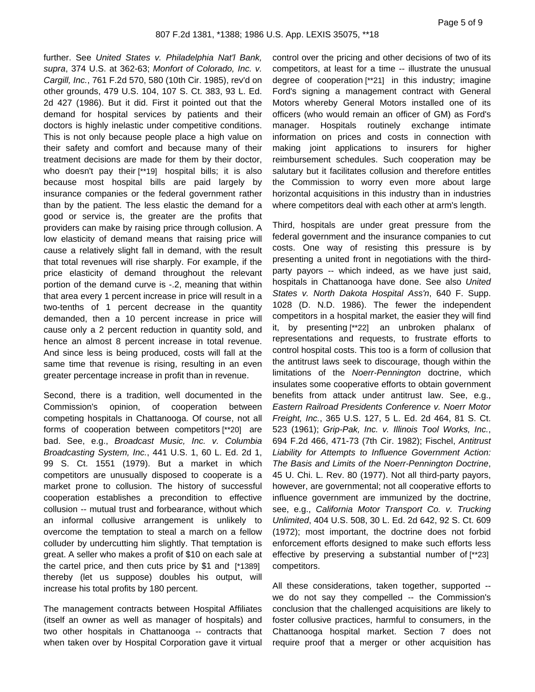further. See United States v. Philadelphia Nat'l Bank, supra, 374 U.S. at 362-63; Monfort of Colorado, Inc. v. Cargill, Inc., 761 F.2d 570, 580 (10th Cir. 1985), rev'd on other grounds, 479 U.S. 104, 107 S. Ct. 383, 93 L. Ed. 2d 427 (1986). But it did. First it pointed out that the demand for hospital services by patients and their doctors is highly inelastic under competitive conditions. This is not only because people place a high value on their safety and comfort and because many of their treatment decisions are made for them by their doctor, who doesn't pay their [\*\*19] hospital bills; it is also because most hospital bills are paid largely by insurance companies or the federal government rather than by the patient. The less elastic the demand for a good or service is, the greater are the profits that providers can make by raising price through collusion. A low elasticity of demand means that raising price will cause a relatively slight fall in demand, with the result that total revenues will rise sharply. For example, if the price elasticity of demand throughout the relevant portion of the demand curve is -.2, meaning that within that area every 1 percent increase in price will result in a two-tenths of 1 percent decrease in the quantity demanded, then a 10 percent increase in price will cause only a 2 percent reduction in quantity sold, and hence an almost 8 percent increase in total revenue. And since less is being produced, costs will fall at the same time that revenue is rising, resulting in an even greater percentage increase in profit than in revenue.

Second, there is a tradition, well documented in the Commission's opinion, of cooperation between competing hospitals in Chattanooga. Of course, not all forms of cooperation between competitors [\*\*20] are bad. See, e.g., Broadcast Music, Inc. v. Columbia Broadcasting System, Inc., 441 U.S. 1, 60 L. Ed. 2d 1, 99 S. Ct. 1551 (1979). But a market in which competitors are unusually disposed to cooperate is a market prone to collusion. The history of successful cooperation establishes a precondition to effective collusion -- mutual trust and forbearance, without which an informal collusive arrangement is unlikely to overcome the temptation to steal a march on a fellow colluder by undercutting him slightly. That temptation is great. A seller who makes a profit of \$10 on each sale at the cartel price, and then cuts price by \$1 and [\*1389] thereby (let us suppose) doubles his output, will increase his total profits by 180 percent.

The management contracts between Hospital Affiliates (itself an owner as well as manager of hospitals) and two other hospitals in Chattanooga -- contracts that when taken over by Hospital Corporation gave it virtual

control over the pricing and other decisions of two of its competitors, at least for a time -- illustrate the unusual degree of cooperation [\*\*21] in this industry; imagine Ford's signing a management contract with General Motors whereby General Motors installed one of its officers (who would remain an officer of GM) as Ford's manager. Hospitals routinely exchange intimate information on prices and costs in connection with making joint applications to insurers for higher reimbursement schedules. Such cooperation may be salutary but it facilitates collusion and therefore entitles the Commission to worry even more about large horizontal acquisitions in this industry than in industries where competitors deal with each other at arm's length.

Third, hospitals are under great pressure from the federal government and the insurance companies to cut costs. One way of resisting this pressure is by presenting a united front in negotiations with the thirdparty payors -- which indeed, as we have just said, hospitals in Chattanooga have done. See also United States v. North Dakota Hospital Ass'n, 640 F. Supp. 1028 (D. N.D. 1986). The fewer the independent competitors in a hospital market, the easier they will find it, by presenting [\*\*22] an unbroken phalanx of representations and requests, to frustrate efforts to control hospital costs. This too is a form of collusion that the antitrust laws seek to discourage, though within the limitations of the Noerr-Pennington doctrine, which insulates some cooperative efforts to obtain government benefits from attack under antitrust law. See, e.g., Eastern Railroad Presidents Conference v. Noerr Motor Freight, Inc., 365 U.S. 127, 5 L. Ed. 2d 464, 81 S. Ct. 523 (1961); Grip-Pak, Inc. v. Illinois Tool Works, Inc., 694 F.2d 466, 471-73 (7th Cir. 1982); Fischel, Antitrust Liability for Attempts to Influence Government Action: The Basis and Limits of the Noerr-Pennington Doctrine, 45 U. Chi. L. Rev. 80 (1977). Not all third-party payors, however, are governmental; not all cooperative efforts to influence government are immunized by the doctrine, see, e.g., California Motor Transport Co. v. Trucking Unlimited, 404 U.S. 508, 30 L. Ed. 2d 642, 92 S. Ct. 609 (1972); most important, the doctrine does not forbid enforcement efforts designed to make such efforts less effective by preserving a substantial number of [\*\*23] competitors.

All these considerations, taken together, supported - we do not say they compelled -- the Commission's conclusion that the challenged acquisitions are likely to foster collusive practices, harmful to consumers, in the Chattanooga hospital market. Section 7 does not require proof that a merger or other acquisition has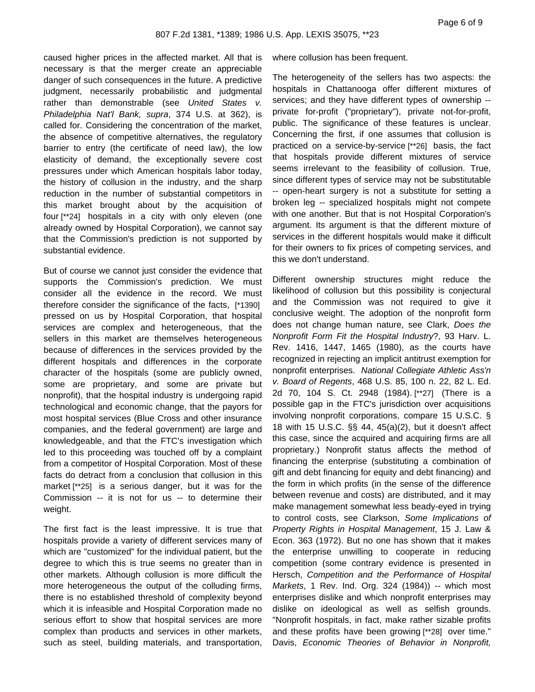caused higher prices in the affected market. All that is necessary is that the merger create an appreciable danger of such consequences in the future. A predictive judgment, necessarily probabilistic and judgmental rather than demonstrable (see United States v. Philadelphia Nat'l Bank, supra, 374 U.S. at 362), is called for. Considering the concentration of the market, the absence of competitive alternatives, the regulatory barrier to entry (the certificate of need law), the low elasticity of demand, the exceptionally severe cost pressures under which American hospitals labor today, the history of collusion in the industry, and the sharp reduction in the number of substantial competitors in this market brought about by the acquisition of four [\*\*24] hospitals in a city with only eleven (one already owned by Hospital Corporation), we cannot say that the Commission's prediction is not supported by substantial evidence.

But of course we cannot just consider the evidence that supports the Commission's prediction. We must consider all the evidence in the record. We must therefore consider the significance of the facts, [\*1390] pressed on us by Hospital Corporation, that hospital services are complex and heterogeneous, that the sellers in this market are themselves heterogeneous because of differences in the services provided by the different hospitals and differences in the corporate character of the hospitals (some are publicly owned, some are proprietary, and some are private but nonprofit), that the hospital industry is undergoing rapid technological and economic change, that the payors for most hospital services (Blue Cross and other insurance companies, and the federal government) are large and knowledgeable, and that the FTC's investigation which led to this proceeding was touched off by a complaint from a competitor of Hospital Corporation. Most of these facts do detract from a conclusion that collusion in this market [\*\*25] is a serious danger, but it was for the Commission -- it is not for us -- to determine their weight.

The first fact is the least impressive. It is true that hospitals provide a variety of different services many of which are "customized" for the individual patient, but the degree to which this is true seems no greater than in other markets. Although collusion is more difficult the more heterogeneous the output of the colluding firms, there is no established threshold of complexity beyond which it is infeasible and Hospital Corporation made no serious effort to show that hospital services are more complex than products and services in other markets, such as steel, building materials, and transportation,

where collusion has been frequent.

The heterogeneity of the sellers has two aspects: the hospitals in Chattanooga offer different mixtures of services; and they have different types of ownership - private for-profit ("proprietary"), private not-for-profit, public. The significance of these features is unclear. Concerning the first, if one assumes that collusion is practiced on a service-by-service [\*\*26] basis, the fact that hospitals provide different mixtures of service seems irrelevant to the feasibility of collusion. True, since different types of service may not be substitutable -- open-heart surgery is not a substitute for setting a broken leg -- specialized hospitals might not compete with one another. But that is not Hospital Corporation's argument. Its argument is that the different mixture of services in the different hospitals would make it difficult for their owners to fix prices of competing services, and this we don't understand.

Different ownership structures might reduce the likelihood of collusion but this possibility is conjectural and the Commission was not required to give it conclusive weight. The adoption of the nonprofit form does not change human nature, see Clark, Does the Nonprofit Form Fit the Hospital Industry?, 93 Harv. L. Rev. 1416, 1447, 1465 (1980), as the courts have recognized in rejecting an implicit antitrust exemption for nonprofit enterprises. National Collegiate Athletic Ass'n v. Board of Regents, 468 U.S. 85, 100 n. 22, 82 L. Ed. 2d 70, 104 S. Ct. 2948 (1984). [\*\*27] (There is a possible gap in the FTC's jurisdiction over acquisitions involving nonprofit corporations, compare 15 U.S.C. § 18 with 15 U.S.C. §§ 44, 45(a)(2), but it doesn't affect this case, since the acquired and acquiring firms are all proprietary.) Nonprofit status affects the method of financing the enterprise (substituting a combination of gift and debt financing for equity and debt financing) and the form in which profits (in the sense of the difference between revenue and costs) are distributed, and it may make management somewhat less beady-eyed in trying to control costs, see Clarkson, Some Implications of Property Rights in Hospital Management, 15 J. Law & Econ. 363 (1972). But no one has shown that it makes the enterprise unwilling to cooperate in reducing competition (some contrary evidence is presented in Hersch, Competition and the Performance of Hospital Markets, 1 Rev. Ind. Org. 324 (1984)) -- which most enterprises dislike and which nonprofit enterprises may dislike on ideological as well as selfish grounds. "Nonprofit hospitals, in fact, make rather sizable profits and these profits have been growing [\*\*28] over time." Davis, Economic Theories of Behavior in Nonprofit,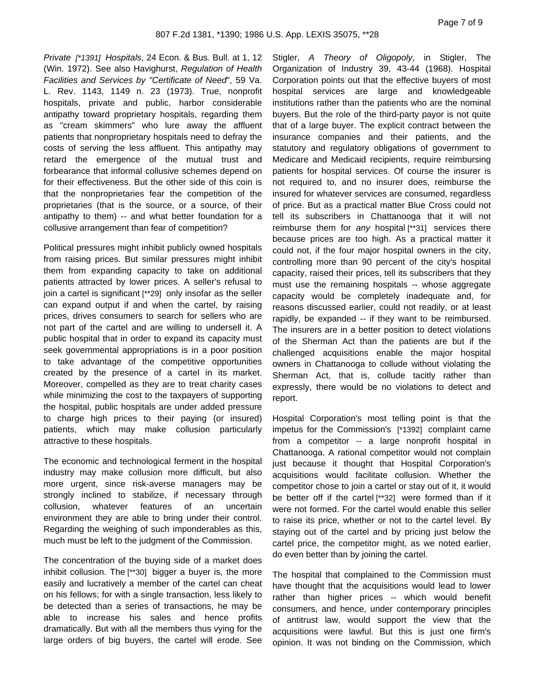Private [\*1391] Hospitals, 24 Econ. & Bus. Bull. at 1, 12 (Win. 1972). See also Havighurst, Regulation of Health Facilities and Services by "Certificate of Need", 59 Va. L. Rev. 1143, 1149 n. 23 (1973). True, nonprofit hospitals, private and public, harbor considerable antipathy toward proprietary hospitals, regarding them as "cream skimmers" who lure away the affluent patients that nonproprietary hospitals need to defray the costs of serving the less affluent. This antipathy may retard the emergence of the mutual trust and forbearance that informal collusive schemes depend on for their effectiveness. But the other side of this coin is that the nonproprietaries fear the competition of the proprietaries (that is the source, or a source, of their antipathy to them) -- and what better foundation for a collusive arrangement than fear of competition?

Political pressures might inhibit publicly owned hospitals from raising prices. But similar pressures might inhibit them from expanding capacity to take on additional patients attracted by lower prices. A seller's refusal to join a cartel is significant [\*\*29] only insofar as the seller can expand output if and when the cartel, by raising prices, drives consumers to search for sellers who are not part of the cartel and are willing to undersell it. A public hospital that in order to expand its capacity must seek governmental appropriations is in a poor position to take advantage of the competitive opportunities created by the presence of a cartel in its market. Moreover, compelled as they are to treat charity cases while minimizing the cost to the taxpayers of supporting the hospital, public hospitals are under added pressure to charge high prices to their paying (or insured) patients, which may make collusion particularly attractive to these hospitals.

The economic and technological ferment in the hospital industry may make collusion more difficult, but also more urgent, since risk-averse managers may be strongly inclined to stabilize, if necessary through collusion, whatever features of an uncertain environment they are able to bring under their control. Regarding the weighing of such imponderables as this, much must be left to the judgment of the Commission.

The concentration of the buying side of a market does inhibit collusion. The [\*\*30] bigger a buyer is, the more easily and lucratively a member of the cartel can cheat on his fellows; for with a single transaction, less likely to be detected than a series of transactions, he may be able to increase his sales and hence profits dramatically. But with all the members thus vying for the large orders of big buyers, the cartel will erode. See

Stigler, A Theory of Oligopoly, in Stigler, The Organization of Industry 39, 43-44 (1968). Hospital Corporation points out that the effective buyers of most hospital services are large and knowledgeable institutions rather than the patients who are the nominal buyers. But the role of the third-party payor is not quite that of a large buyer. The explicit contract between the insurance companies and their patients, and the statutory and regulatory obligations of government to Medicare and Medicaid recipients, require reimbursing patients for hospital services. Of course the insurer is not required to, and no insurer does, reimburse the insured for whatever services are consumed, regardless of price. But as a practical matter Blue Cross could not tell its subscribers in Chattanooga that it will not reimburse them for any hospital [\*\*31] services there because prices are too high. As a practical matter it could not, if the four major hospital owners in the city, controlling more than 90 percent of the city's hospital capacity, raised their prices, tell its subscribers that they must use the remaining hospitals -- whose aggregate capacity would be completely inadequate and, for reasons discussed earlier, could not readily, or at least rapidly, be expanded -- if they want to be reimbursed. The insurers are in a better position to detect violations of the Sherman Act than the patients are but if the challenged acquisitions enable the major hospital owners in Chattanooga to collude without violating the Sherman Act, that is, collude tacitly rather than expressly, there would be no violations to detect and report.

Hospital Corporation's most telling point is that the impetus for the Commission's [\*1392] complaint came from a competitor -- a large nonprofit hospital in Chattanooga. A rational competitor would not complain just because it thought that Hospital Corporation's acquisitions would facilitate collusion. Whether the competitor chose to join a cartel or stay out of it, it would be better off if the cartel [\*\*32] were formed than if it were not formed. For the cartel would enable this seller to raise its price, whether or not to the cartel level. By staying out of the cartel and by pricing just below the cartel price, the competitor might, as we noted earlier, do even better than by joining the cartel.

The hospital that complained to the Commission must have thought that the acquisitions would lead to lower rather than higher prices -- which would benefit consumers, and hence, under contemporary principles of antitrust law, would support the view that the acquisitions were lawful. But this is just one firm's opinion. It was not binding on the Commission, which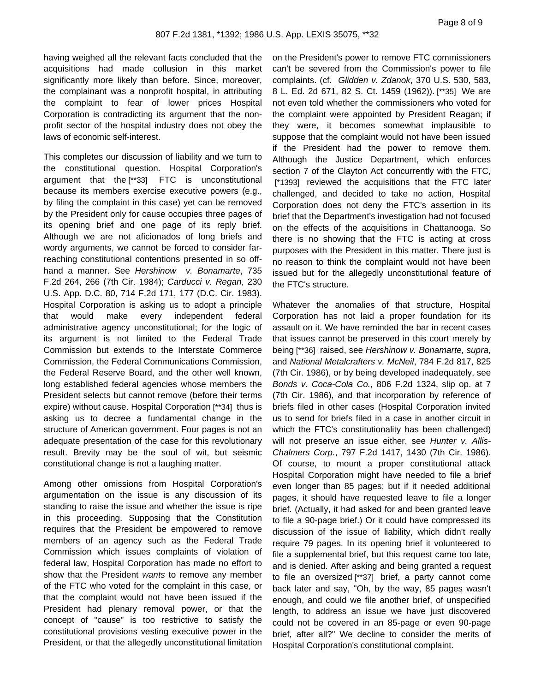having weighed all the relevant facts concluded that the acquisitions had made collusion in this market significantly more likely than before. Since, moreover, the complainant was a nonprofit hospital, in attributing the complaint to fear of lower prices Hospital Corporation is contradicting its argument that the nonprofit sector of the hospital industry does not obey the laws of economic self-interest.

This completes our discussion of liability and we turn to the constitutional question. Hospital Corporation's argument that the [\*\*33] FTC is unconstitutional because its members exercise executive powers (e.g., by filing the complaint in this case) yet can be removed by the President only for cause occupies three pages of its opening brief and one page of its reply brief. Although we are not aficionados of long briefs and wordy arguments, we cannot be forced to consider farreaching constitutional contentions presented in so offhand a manner. See Hershinow v. Bonamarte, 735 F.2d 264, 266 (7th Cir. 1984); Carducci v. Regan, 230 U.S. App. D.C. 80, 714 F.2d 171, 177 (D.C. Cir. 1983). Hospital Corporation is asking us to adopt a principle that would make every independent federal administrative agency unconstitutional; for the logic of its argument is not limited to the Federal Trade Commission but extends to the Interstate Commerce Commission, the Federal Communications Commission, the Federal Reserve Board, and the other well known, long established federal agencies whose members the President selects but cannot remove (before their terms expire) without cause. Hospital Corporation [\*\*34] thus is asking us to decree a fundamental change in the structure of American government. Four pages is not an adequate presentation of the case for this revolutionary result. Brevity may be the soul of wit, but seismic constitutional change is not a laughing matter.

Among other omissions from Hospital Corporation's argumentation on the issue is any discussion of its standing to raise the issue and whether the issue is ripe in this proceeding. Supposing that the Constitution requires that the President be empowered to remove members of an agency such as the Federal Trade Commission which issues complaints of violation of federal law, Hospital Corporation has made no effort to show that the President wants to remove any member of the FTC who voted for the complaint in this case, or that the complaint would not have been issued if the President had plenary removal power, or that the concept of "cause" is too restrictive to satisfy the constitutional provisions vesting executive power in the President, or that the allegedly unconstitutional limitation

on the President's power to remove FTC commissioners can't be severed from the Commission's power to file complaints. (cf. Glidden v. Zdanok, 370 U.S. 530, 583, 8 L. Ed. 2d 671, 82 S. Ct. 1459 (1962)). [\*\*35] We are not even told whether the commissioners who voted for the complaint were appointed by President Reagan; if they were, it becomes somewhat implausible to suppose that the complaint would not have been issued if the President had the power to remove them. Although the Justice Department, which enforces section 7 of the Clayton Act concurrently with the FTC, [\*1393] reviewed the acquisitions that the FTC later challenged, and decided to take no action, Hospital Corporation does not deny the FTC's assertion in its brief that the Department's investigation had not focused on the effects of the acquisitions in Chattanooga. So there is no showing that the FTC is acting at cross purposes with the President in this matter. There just is no reason to think the complaint would not have been issued but for the allegedly unconstitutional feature of the FTC's structure.

Whatever the anomalies of that structure, Hospital Corporation has not laid a proper foundation for its assault on it. We have reminded the bar in recent cases that issues cannot be preserved in this court merely by being [\*\*36] raised, see Hershinow v. Bonamarte, supra, and National Metalcrafters v. McNeil, 784 F.2d 817, 825 (7th Cir. 1986), or by being developed inadequately, see Bonds v. Coca-Cola Co., 806 F.2d 1324, slip op. at 7 (7th Cir. 1986), and that incorporation by reference of briefs filed in other cases (Hospital Corporation invited us to send for briefs filed in a case in another circuit in which the FTC's constitutionality has been challenged) will not preserve an issue either, see Hunter v. Allis-Chalmers Corp., 797 F.2d 1417, 1430 (7th Cir. 1986). Of course, to mount a proper constitutional attack Hospital Corporation might have needed to file a brief even longer than 85 pages; but if it needed additional pages, it should have requested leave to file a longer brief. (Actually, it had asked for and been granted leave to file a 90-page brief.) Or it could have compressed its discussion of the issue of liability, which didn't really require 79 pages. In its opening brief it volunteered to file a supplemental brief, but this request came too late, and is denied. After asking and being granted a request to file an oversized [\*\*37] brief, a party cannot come back later and say, "Oh, by the way, 85 pages wasn't enough, and could we file another brief, of unspecified length, to address an issue we have just discovered could not be covered in an 85-page or even 90-page brief, after all?" We decline to consider the merits of Hospital Corporation's constitutional complaint.